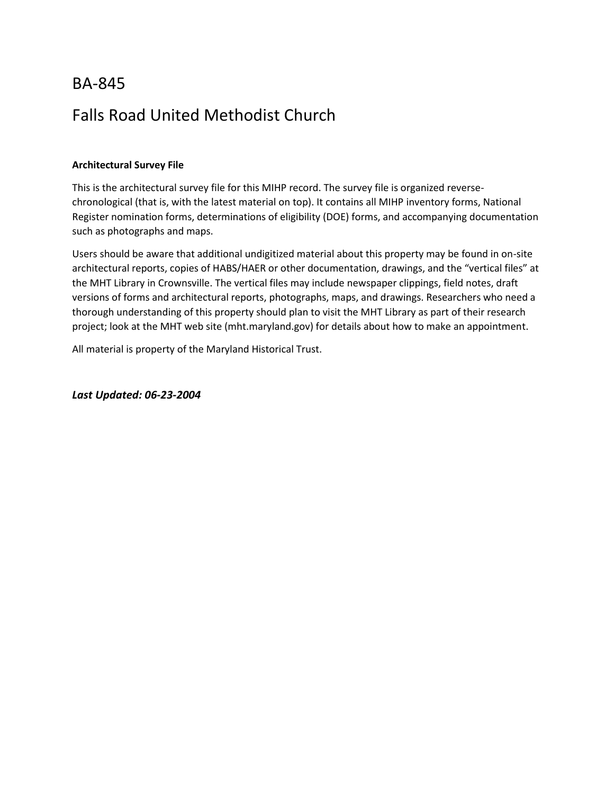# BA-845

# Falls Road United Methodist Church

### **Architectural Survey File**

This is the architectural survey file for this MIHP record. The survey file is organized reversechronological (that is, with the latest material on top). It contains all MIHP inventory forms, National Register nomination forms, determinations of eligibility (DOE) forms, and accompanying documentation such as photographs and maps.

Users should be aware that additional undigitized material about this property may be found in on-site architectural reports, copies of HABS/HAER or other documentation, drawings, and the "vertical files" at the MHT Library in Crownsville. The vertical files may include newspaper clippings, field notes, draft versions of forms and architectural reports, photographs, maps, and drawings. Researchers who need a thorough understanding of this property should plan to visit the MHT Library as part of their research project; look at the MHT web site (mht.maryland.gov) for details about how to make an appointment.

All material is property of the Maryland Historical Trust.

*Last Updated: 06-23-2004*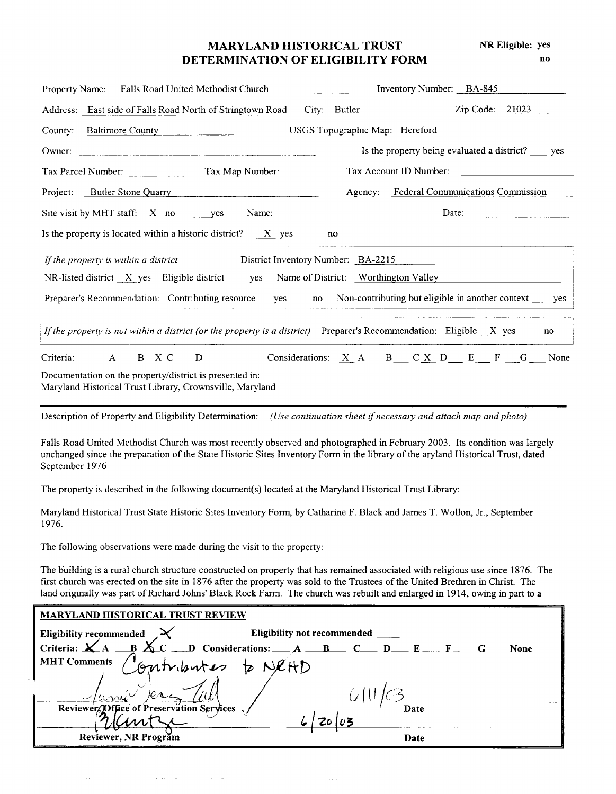### MARYLAND HISTORICAL TRUST DETERMINATION OF ELIGIBILITY FORM

NR Eligible: yes\_ no

| Inventory Number: BA-845<br>Property Name:<br>Falls Road United Methodist Church                                                                                                                                                                                                                                                                                                                  |
|---------------------------------------------------------------------------------------------------------------------------------------------------------------------------------------------------------------------------------------------------------------------------------------------------------------------------------------------------------------------------------------------------|
| Address: East side of Falls Road North of Stringtown Road City: Butler<br>Zip Code: 21023                                                                                                                                                                                                                                                                                                         |
| County: Baltimore County<br>USGS Topographic Map: Hereford                                                                                                                                                                                                                                                                                                                                        |
| Is the property being evaluated a district? ______ yes                                                                                                                                                                                                                                                                                                                                            |
| Tax Parcel Number: Tax Map Number:<br>Tax Account ID Number:                                                                                                                                                                                                                                                                                                                                      |
| Agency: Federal Communications Commission<br>Project: Butler Stone Quarry                                                                                                                                                                                                                                                                                                                         |
| Site visit by MHT staff: $X$ no yes Name: $\frac{X}{X}$ Name:<br>Date:                                                                                                                                                                                                                                                                                                                            |
| Is the property is located within a historic district? $X$ yes _______ no                                                                                                                                                                                                                                                                                                                         |
| If the property is within a district <b>Sample 19 and September</b> 1984-2215<br>NR-listed district $X$ yes Eligible district summary Name of District: Worthington Valley<br>Preparer's Recommendation: Contributing resource yes no Non-contributing but eligible in another context yes                                                                                                        |
| If the property is not within a district (or the property is a district) Preparer's Recommendation: Eligible $X$ yes no                                                                                                                                                                                                                                                                           |
| Considerations: $X \ A \ B \ C \ X \ D \ E \ F \ G \$<br>Criteria: A B X C D<br>Documentation on the property/district is presented in:<br>Maryland Historical Trust Library, Crownsville, Maryland                                                                                                                                                                                               |
| Description of Property and Eligibility Determination: (Use continuation sheet if necessary and attach map and photo)                                                                                                                                                                                                                                                                             |
| Falls Road United Methodist Church was most recently observed and photographed in February 2003. Its condition was largely<br>unchanged since the preparation of the State Historic Sites Inventory Form in the library of the aryland Historical Trust, dated<br>September 1976                                                                                                                  |
| The property is described in the following document(s) located at the Maryland Historical Trust Library:                                                                                                                                                                                                                                                                                          |
| Maryland Historical Trust State Historic Sites Inventory Form, by Catharine F. Black and James T. Wollon, Jr., September<br>1976.                                                                                                                                                                                                                                                                 |
| The following observations were made during the visit to the property:                                                                                                                                                                                                                                                                                                                            |
| The building is a rural church structure constructed on property that has remained associated with religious use since 1876. The<br>first church was erected on the site in 1876 after the property was sold to the Trustees of the United Brethren in Christ. The<br>land originally was part of Richard Johns' Black Rock Farm. The church was rebuilt and enlarged in 1914, owing in part to a |
| <u>MARYLAND HISTORICAL TRUST REVIEW</u>                                                                                                                                                                                                                                                                                                                                                           |
| Eligibility recommended<br>Criteria: $X A$ B $X C$ D Considerations: A B $C$ D $E$ $F$ $G$ $F$<br>MHT Comments $\bigcirc$ $\bigcirc$ $\mathcal{M}$ $\mathcal{M}$ $\mathcal{M}$ $\mathcal{M}$ $\mathcal{M}$ $\mathcal{M}$ $\mathcal{M}$ $\mathcal{M}$ $\mathcal{M}$ $\mathcal{M}$ $\mathcal{M}$ $\mathcal{M}$<br>None                                                                              |

 $6/20/05$ 

 $\mathcal{A}(\mathcal{A})$  , and  $\mathcal{A}(\mathcal{A})$  and

 $-$ 

Preservation Services,

 $\label{eq:1} \mathcal{L}(\mathbf{w},\mathbf{w}) = \mathcal{L}(\mathbf{w},\mathbf{w}) = \mathcal{L}(\mathbf{w},\mathbf{w}) = \mathcal{L}(\mathbf{w},\mathbf{w})$ 

Reviewer,

 $\hat{r}^{(1)}$  , and  $\hat{r}^{(2)}$ 

Reviewer, NR Program

 $\overline{\smash{)}\quad\quad}$ Date

Date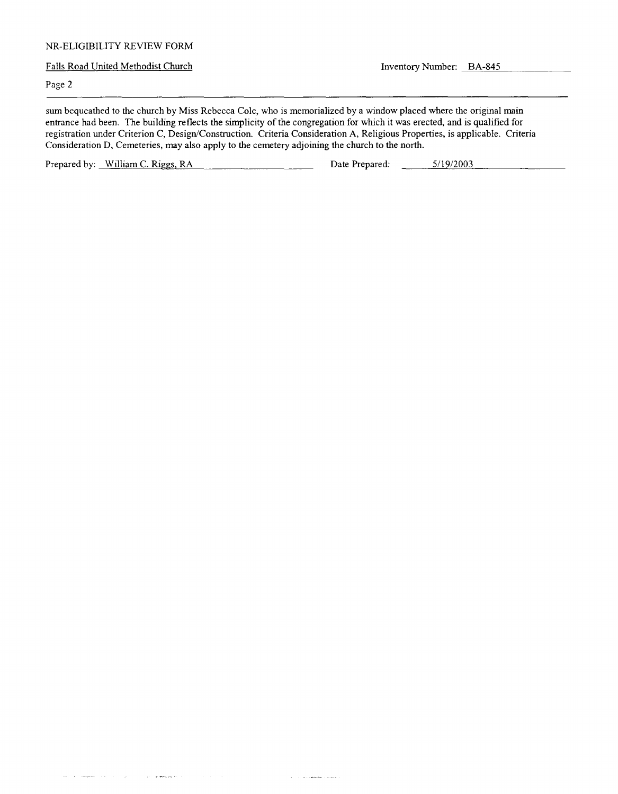#### NR-ELIGIBILITY REVIEW FORM

#### Falls Road United Methodist Church

Inventory Number: BA-845

#### Page 2

sum bequeathed to the church by Miss Rebecca Cole, who is memorialized by a window placed where the original main entrance had been. The building reflects the simplicity of the congregation for which it was erected, and is qualified for registration under Criterion C, Design/Construction. Criteria Consideration A, Religious Properties, is applicable. Criteria Consideration D, Cemeteries, may also apply to the cemetery adjoining the church to the north.

Prepared by: William C. Riggs, RA Date Prepared: 5/19/2003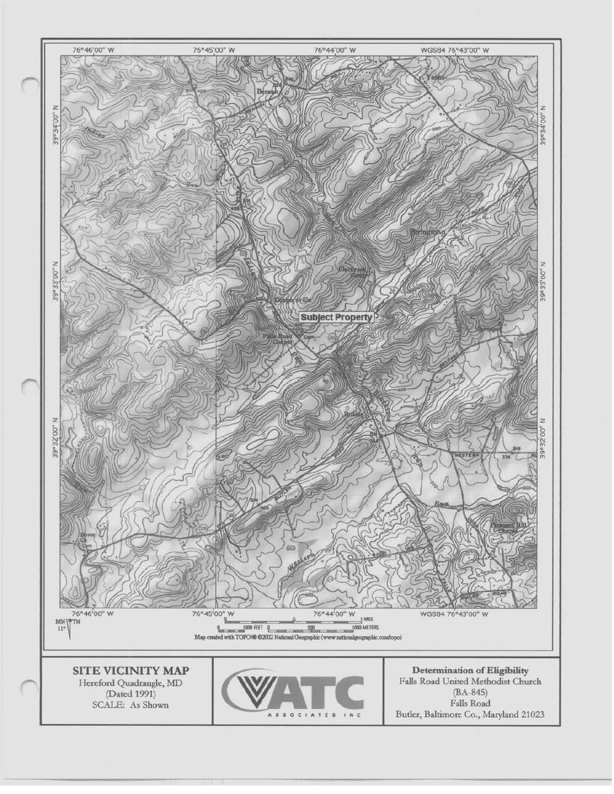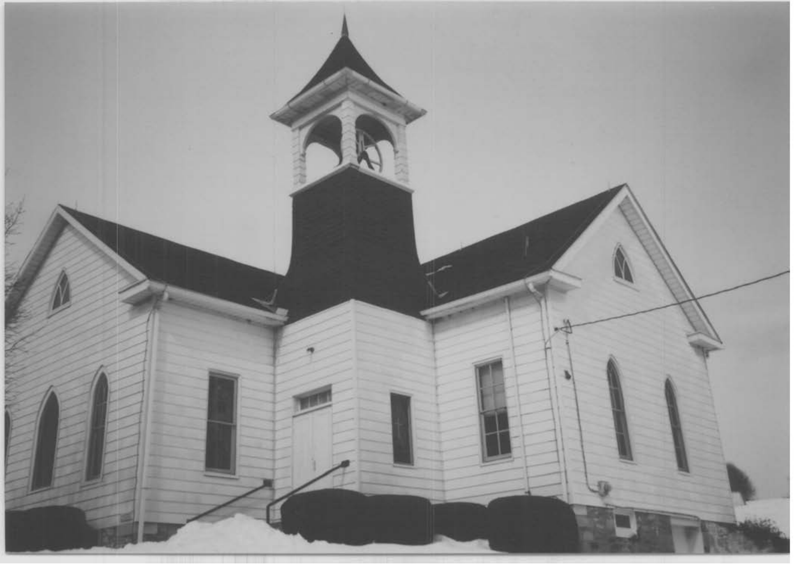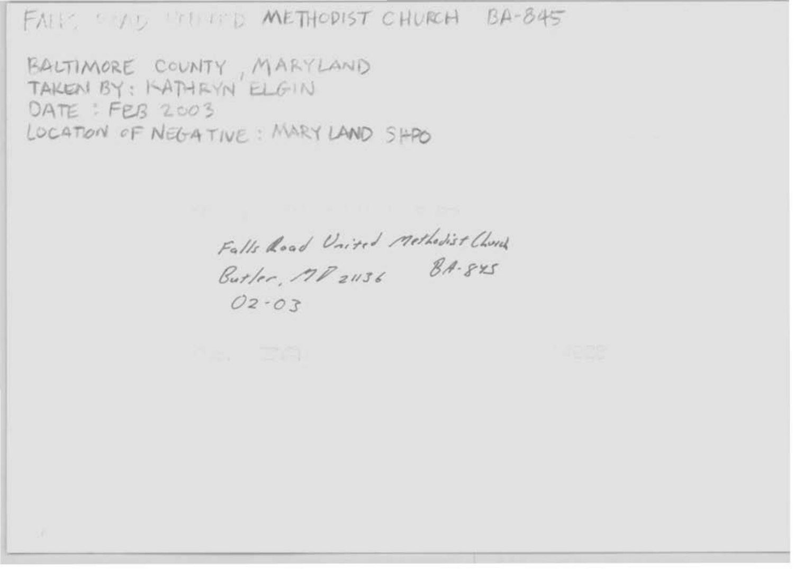FALLS SING THEIRD METHODIST CHURCH BA-845

BALTIMORE COUNTY, MARYLAND TAKEN BY: KATHRYN ELGIN DATE: FEB 2003 LOCATION OF NEGATIVE: MARY LAND SHOPS

Falls Road United Methodist Church Butler, MP 21136 BA-845  $02 - 03$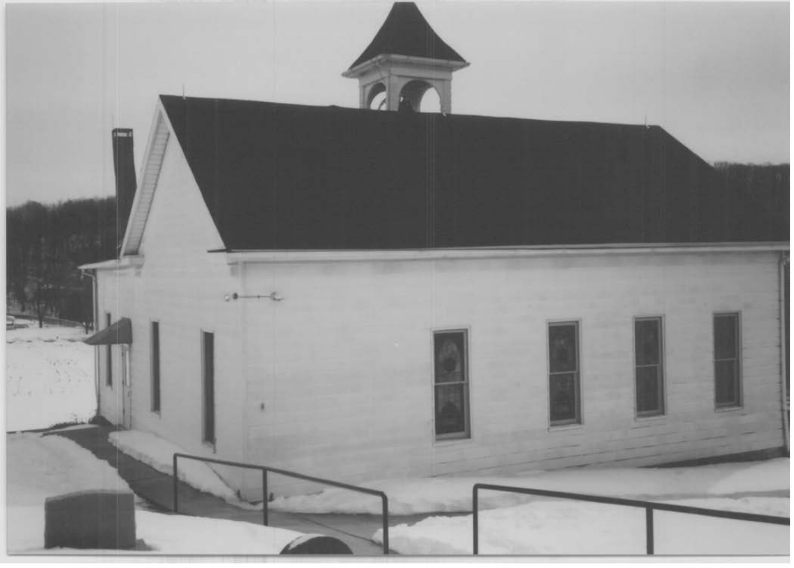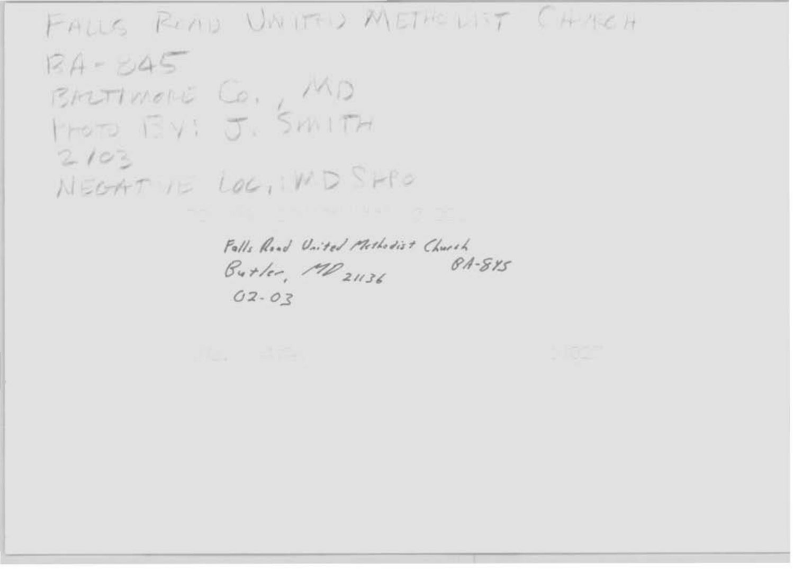FALLS RIND UNITED METHOLIST CHACH  $BA = 845$ BALTIMONE CO., MD HOTO BY: J. SMITH  $2103$ NEGAT IE LOCIIND SHPO

> Falls Road United Methodist Church  $8A - 8X5$ Butler, MP 21136  $02 - 03$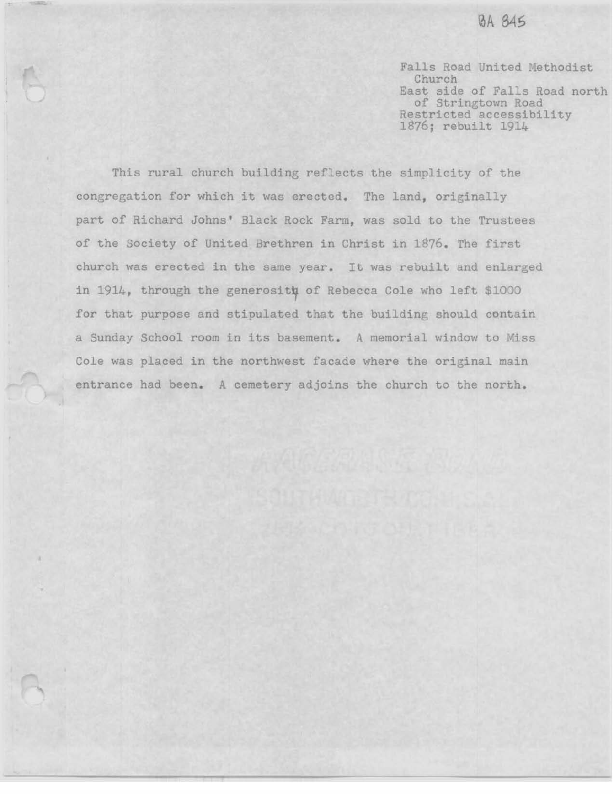Falls Road United Methodist Church East side of Falls Road north of Stringtown Road Restricted accessibility 1876; rebuilt 1914

This rural church building reflects the simplicity of the congregation for which it was erected. The land, originally part of Richard Johns' Black Rock Farm, was sold to the Trustees of the Society of United Brethren in Christ in 1876. The first church was erected in the same year. It was rebuilt and enlarged in 1914, through the generosith of Rebecca Cole who left \$1000 for that purpose and stipulated that the building should contain a Sunday School room in its basement. A memorial window to Miss Cole was placed in the northwest facade where the original main entrance had been. A cemetery adjoins the church to the north.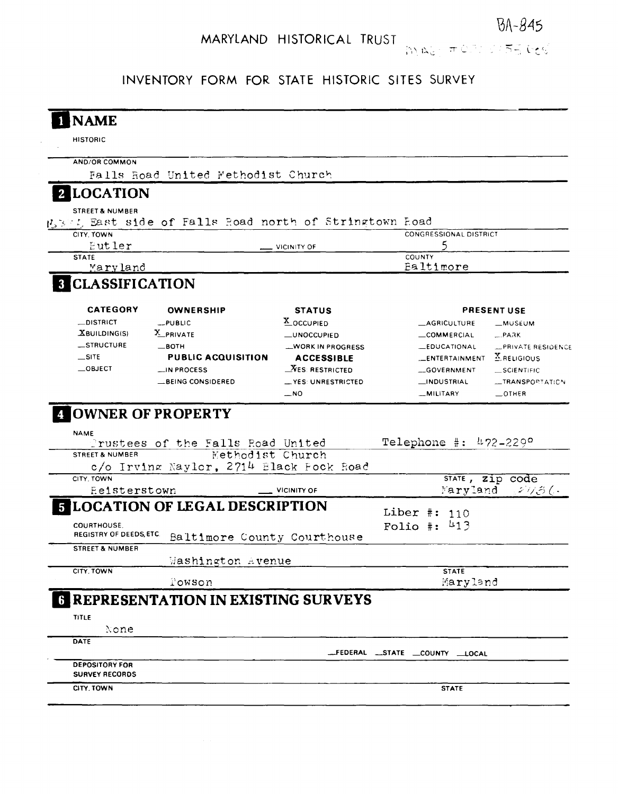$BA-845$ 

## INVENTORY FORM FOR STATE HISTORIC SITES SURVEY

| <b>HISTORIC</b>                                |                                                        |                                                |                                            |                                      |  |
|------------------------------------------------|--------------------------------------------------------|------------------------------------------------|--------------------------------------------|--------------------------------------|--|
|                                                |                                                        |                                                |                                            |                                      |  |
| <b>AND/OR COMMON</b>                           |                                                        |                                                |                                            |                                      |  |
|                                                | Falls Road United Methodist Church                     |                                                |                                            |                                      |  |
| 2 LOCATION                                     |                                                        |                                                |                                            |                                      |  |
| <b>STREET &amp; NUMBER</b>                     |                                                        |                                                |                                            |                                      |  |
|                                                | 15875 East side of Falls Road north of Stringtown Road |                                                |                                            |                                      |  |
| CITY TOWN                                      |                                                        |                                                | CONGRESSIONAL DISTRICT                     |                                      |  |
| Eutler<br><b>STATE</b>                         |                                                        | 5<br><b>VICINITY OF</b>                        |                                            |                                      |  |
| Maryland                                       |                                                        |                                                |                                            | COUNTY<br>Baltimore                  |  |
| <b>8 CLASSIFICATION</b>                        |                                                        |                                                |                                            |                                      |  |
|                                                |                                                        |                                                |                                            |                                      |  |
| <b>CATEGORY</b>                                | <b>OWNERSHIP</b>                                       | <b>STATUS</b>                                  |                                            | <b>PRESENT USE</b>                   |  |
| _DISTRICT<br>$X$ BUILDING(S)                   | $-$ PUBLIC<br>X PRIVATE                                | X OCCUPIED                                     | <b>_AGRICULTURE</b><br>$\equiv$ COMMERCIAL | <b>MUSEUM</b><br>PARK                |  |
| STRUCTURE                                      | $-$ BOTH                                               | <b>__UNOCCUPIED</b><br><b>WORK IN PROGRESS</b> | <b>EDUCATIONAL</b>                         | <b>LPRIVATE RESIDENCE</b>            |  |
| $\_$ SITE                                      | <b>PUBLIC ACQUISITION</b>                              | <b>ACCESSIBLE</b>                              | <b>LENTERTAINMENT</b>                      | $X$ RELIGIOUS                        |  |
| $\_\$ OBJECT                                   | $\equiv$ IN PROCESS                                    | $X$ ES: RESTRICTED                             | __GOVERNMENT                               | $\_$ SCIENTIFIC                      |  |
|                                                |                                                        |                                                |                                            |                                      |  |
|                                                | <b>BEING CONSIDERED</b>                                | __ YES: UNRESTRICTED                           | __INDUSTRIAL                               |                                      |  |
|                                                | 4 OWNER OF PROPERTY                                    | $-MO$                                          | _MILITARY                                  | <b>__TRANSPORTATICN</b><br>$-$ OTHER |  |
| <b>NAME</b><br><b>STREET &amp; NUMBER</b>      | Trustees of the Falls Road United<br>Methodist Church  |                                                | Telephone #: 472-2290                      |                                      |  |
| CITY. TOWN                                     | c/o Irving Naylor, 2714 Black Fock Road                |                                                |                                            | STATE, zip code                      |  |
| Reisterstown                                   |                                                        | <b>VICINITY OF</b>                             | <b>Maryland</b>                            |                                      |  |
|                                                |                                                        |                                                |                                            |                                      |  |
|                                                | 5 LOCATION OF LEGAL DESCRIPTION                        |                                                | Liber #: $110$                             |                                      |  |
| COURTHOUSE.<br>REGISTRY OF DEEDS, ETC.         |                                                        |                                                | Folio #: $413$                             |                                      |  |
| <b>STREET &amp; NUMBER</b>                     | Baltimore County Courthouse                            |                                                |                                            | ージクるしー                               |  |
|                                                | Washington Avenue                                      |                                                |                                            |                                      |  |
| CITY, TOWN                                     |                                                        |                                                | <b>STATE</b>                               |                                      |  |
|                                                | POWSON                                                 |                                                | Maryland                                   |                                      |  |
|                                                | <b>6 REPRESENTATION IN EXISTING SURVEYS</b>            |                                                |                                            |                                      |  |
|                                                |                                                        |                                                |                                            |                                      |  |
| <b>TITLE</b>                                   |                                                        |                                                |                                            |                                      |  |
| None<br>DATE                                   |                                                        |                                                |                                            |                                      |  |
|                                                |                                                        |                                                | __FEDERAL __STATE __COUNTY __LOCAL         |                                      |  |
| <b>DEPOSITORY FOR</b><br><b>SURVEY RECORDS</b> |                                                        |                                                |                                            |                                      |  |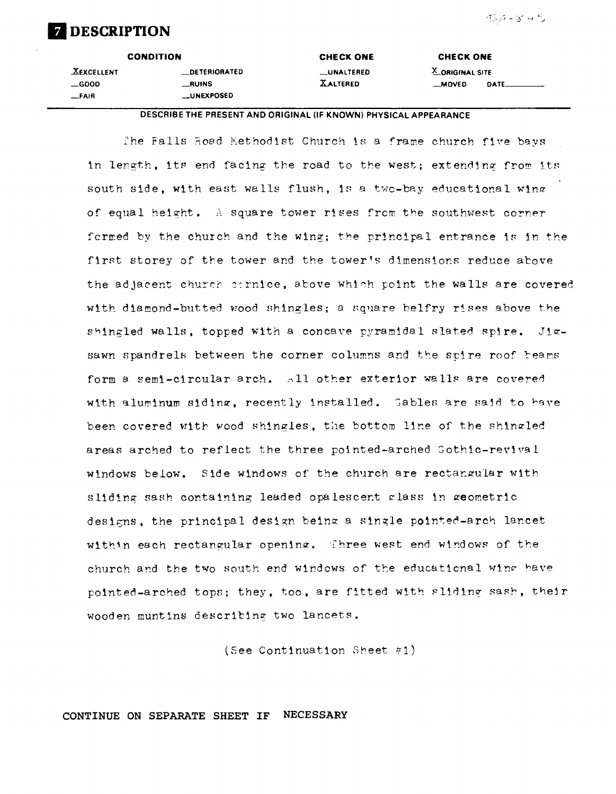## **DESCRIPTION**

| <b>CONDITION</b>     |                     | <b>CHECK ONE</b>  | <b>CHECK ONE</b>       |                               |
|----------------------|---------------------|-------------------|------------------------|-------------------------------|
| <b>XEXCELLENT</b>    | <b>DETERIORATED</b> | <b>LUNALTERED</b> | <b>X_ORIGINAL SITE</b> |                               |
| $\equiv$ GOOD        | $_{-}$ RUINS        | <b>XALTERED</b>   | <b>MOVED</b>           | $DATE$ <sub>___________</sub> |
| $-FA$ <sub>i</sub> R | <b>LUNEXPOSED</b>   |                   |                        |                               |

DESCRIBE THE PRESENT AND ORIGINAL (IF KNOWN) PHYSICAL APPEARANCE

The Falls Road Methodist Church is a frame church five bays in length, its end facing the road to the west; extending from its south side, with east walls flush, is a two-bay educational wing of equal height. A square tower rises from the southwest corner formed by the church and the wing; the principal entrance is in the first storey of the tower and the tower's dimensions reduce above the adjacent church cernice, above which point the walls are covered with diamond-butted wood shingles; a square belfry rises above the shingled walls, topped with a concave pyramidal slated spire. Jigsawn spandrels between the corner columns and the spire roof beams form a semi-circular arch.  $\Delta$ 11 other exterior walls are covered with aluminum siding, recently installed. Gables are said to have been covered with wood shingles, the bottom line of the shingled areas arched to reflect the three pointed-arched Gothic-revival windows below. Side windows of the church are rectangular with sliding sash containing leaded opalescent glass in geometric designs, the principal design being a single pointed-arch lancet within each rectangular opening. Three west end windows of the church and the two south end windows of the educational wing have pointed-arched tops; they, too, are fitted with sliding sash, their wooden muntins describing two lancets.

(See Continuation Sheet  $#1$ )

#### CONTINUE ON SEPARATE SHEET IF NECESSARY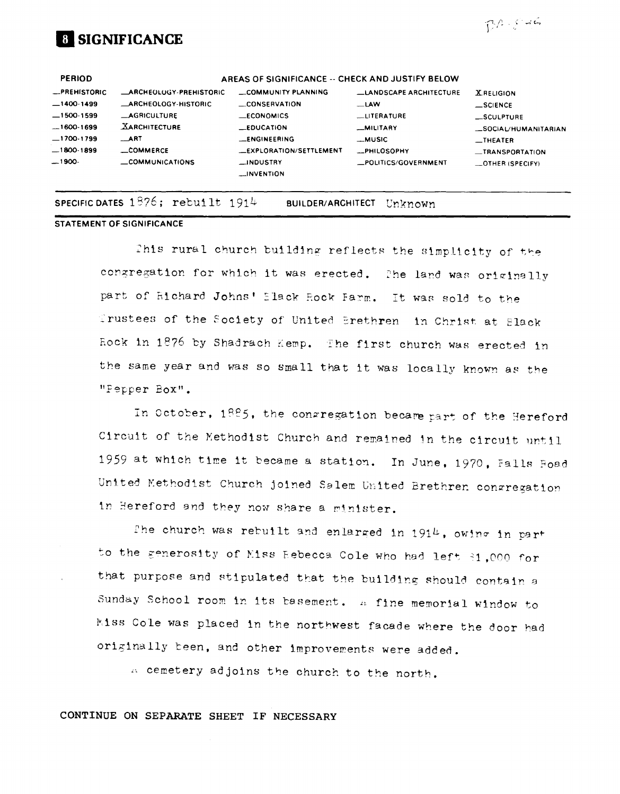



| <b>PERIOD</b>       |                               | AREAS OF SIGNIFICANCE -- CHECK AND JUSTIFY BELOW |                               |                            |
|---------------------|-------------------------------|--------------------------------------------------|-------------------------------|----------------------------|
| <b>_PREHISTORIC</b> | <b>ARCHEOLOGY-PREHISTORIC</b> | <b>COMMUNITY PLANNING</b>                        | <b>LANDSCAPE ARCHITECTURE</b> | <b>XRELIGION</b>           |
| —1400-1499          | <b>_ARCHEOLOGY-HISTORIC</b>   | <b>CONSERVATION</b>                              | $\equiv$ LAW                  | $\_$ SCIENCE               |
| --1500-1599         | <b>_AGRICULTURE</b>           | $CECONOMICS$                                     | <b>LITERATURE</b>             | _SCULPTURE                 |
|                     | <b>XARCHITECTURE</b>          | $E$ DUCATION                                     | <b>_MILITARY</b>              | <b>SOCIAL/HUMANITARIAN</b> |
| —1700-1799          | $\_$ ART                      | <b>LENGINEERING</b>                              | <b>_MUSIC</b>                 | $-$ THEATER                |
| _1800-1899          | _COMMERCE                     | <b>LEXPLORATION/SETTLEMENT</b>                   | -PHILOSOPHY                   | <b>__TRANSPORTATION</b>    |
| -- 1900 -           | <b>COMMUNICATIONS</b>         | _INDUSTRY                                        | _POLITICS/GOVERNMENT          | $\equiv$ OTHER (SPECIFY)   |
|                     |                               | $\sim$ INVENTION                                 |                               |                            |
|                     |                               |                                                  |                               |                            |

SPECIFIC DATES  $1876$ ; rebuilt  $1914$ BUILDER/ARCHITECT Unknown

#### STATEMENT OF SIGNIFICANCE

This rural church building reflects the simplicity of the congregation for which it was erected. The land was originally part of Hichard Johns' Elack Rock Farm. It was sold to the Trustees of the Society of United Brethren in Christ at Black Rock in 1876 by Shadrach Kemp. The first church was erected in the same year and was so small that it was locally known as the "Pepper Box".

In October, 1885, the congregation became part of the Hereford Circuit of the Methodist Church and remained in the circuit until 1959 at which time it became a station. In June, 1970, Falls Poad United Methodist Church joined Salem United Brethren congregation in Hereford and they now share a minister.

The church was rebuilt and enlarged in 1914, owing in part to the generosity of Miss Rebecca Cole who had left 31,000 for that purpose and stipulated that the building should contain a Sunday School room in its basement. A fine memorial window to Miss Cole was placed in the northwest facade where the door had originally been, and other improvements were added.

a cemetery adjoins the church to the north.

#### CONTINUE ON SEPARATE SHEET IF NECESSARY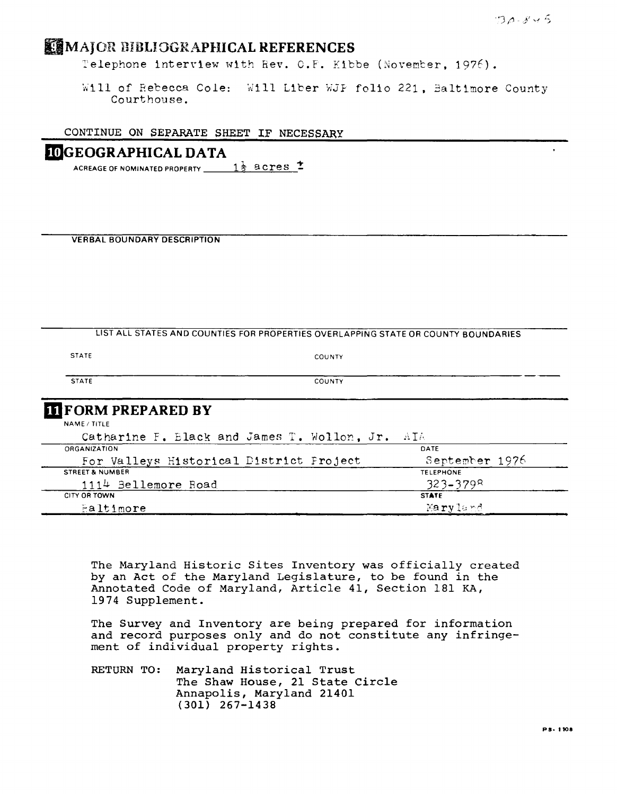## **EEMAJOR BIBLIOGRAPHICAL REFERENCES**

Telephone interview with Rev. O.F. Kibbe (November, 1976).

Will of Rebecca Cole: Will Liber WJF folio 221, Baltimore County Courthouse.

CONTINUE ON SEPARATE SHEET IF NECESSARY

## **IIiJGEOGRAPHICAL DATA**

ACREAGE OF NOMINATED PROPERTY  $1\frac{1}{2}$  acres  $\pm$ 

VERBAL BOUNDARY DESCRIPTION

|                                            | LIST ALL STATES AND COUNTIES FOR PROPERTIES OVERLAPPING STATE OR COUNTY BOUNDARIES |                  |
|--------------------------------------------|------------------------------------------------------------------------------------|------------------|
| <b>STATE</b>                               | COUNTY                                                                             |                  |
| <b>STATE</b>                               | COUNTY                                                                             |                  |
| <b>IT FORM PREPARED BY</b><br>NAME / TITLE |                                                                                    |                  |
|                                            | Catharine F. Black and James T. Wollon, Jr. AIA                                    |                  |
| ORGANIZATION                               |                                                                                    | DATE             |
|                                            | For Valleys Historical District Project                                            | September 1976   |
| <b>STREET &amp; NUMBER</b>                 |                                                                                    | <b>TELEPHONE</b> |
| 1114 Bellemore Road                        |                                                                                    | $323 - 3798$     |
| CITY OR TOWN                               |                                                                                    | <b>STATE</b>     |
| Ealtimore                                  |                                                                                    | Maryland         |

The Maryland Historic Sites Inventory was officially created by an Act of the Maryland Legislature, to be found in the Annotated Code of Maryland, Article 41, Section 181 KA, 1974 Supplement.

The Survey and Inventory are being prepared for information and record purposes only and do not constitute any infringement of individual property rights.

RETURN TO: Maryland Historical Trust The Shaw House, 21 State Circle Annapolis, Maryland 21401  $(301)$  267-1438